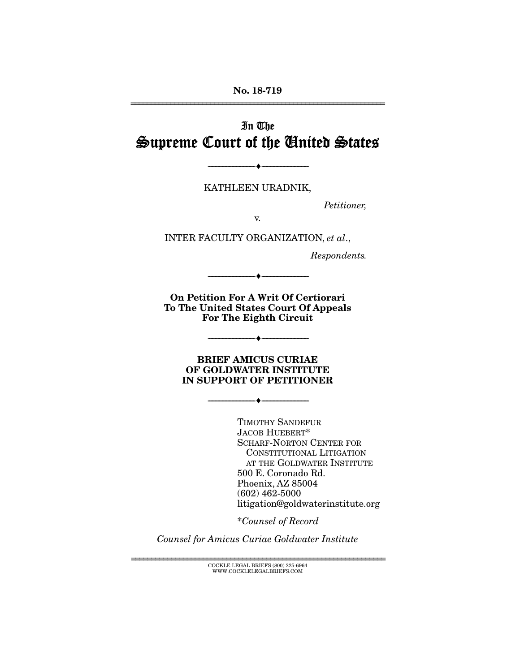No. 18-719 ================================================================

# In The Supreme Court of the United States

KATHLEEN URADNIK,

--------------------------------- ---------------------------------

*Petitioner,* 

v.

INTER FACULTY ORGANIZATION, *et al*.,

*Respondents.* 

On Petition For A Writ Of Certiorari To The United States Court Of Appeals For The Eighth Circuit

--------------------------------- ---------------------------------

BRIEF AMICUS CURIAE OF GOLDWATER INSTITUTE IN SUPPORT OF PETITIONER

--------------------------------- ---------------------------------

--------------------------------- ---------------------------------

TIMOTHY SANDEFUR JACOB HUEBERT\* SCHARF-NORTON CENTER FOR CONSTITUTIONAL LITIGATION AT THE GOLDWATER INSTITUTE 500 E. Coronado Rd. Phoenix, AZ 85004 (602) 462-5000 litigation@goldwaterinstitute.org

\**Counsel of Record*

*Counsel for Amicus Curiae Goldwater Institute*

================================================================ COCKLE LEGAL BRIEFS (800) 225-6964 WWW.COCKLELEGALBRIEFS.COM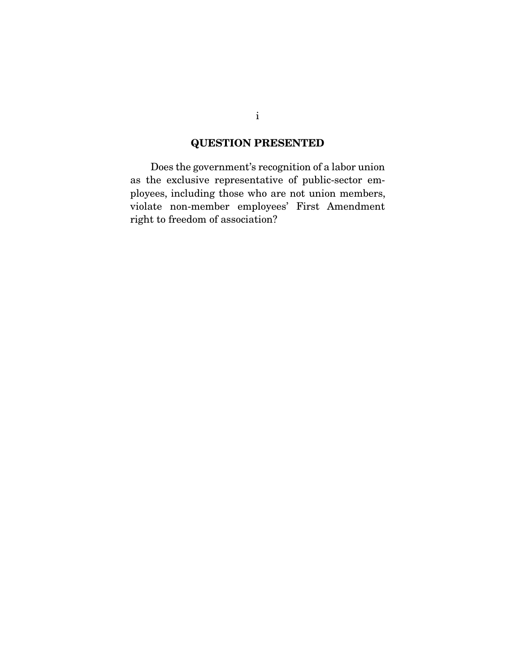### QUESTION PRESENTED

 Does the government's recognition of a labor union as the exclusive representative of public-sector employees, including those who are not union members, violate non-member employees' First Amendment right to freedom of association?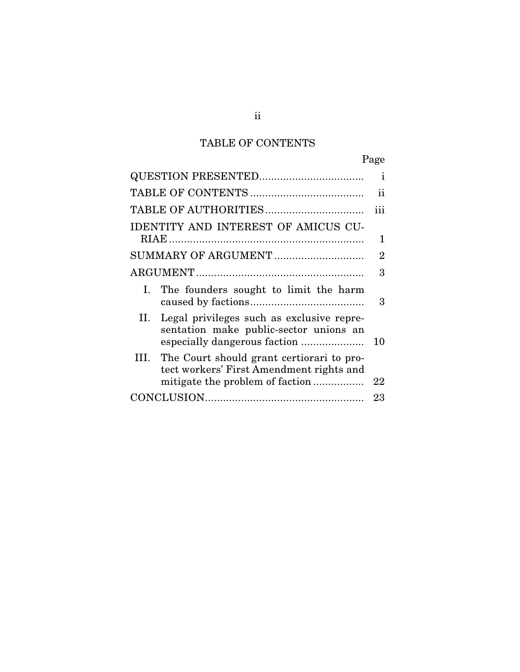# TABLE OF CONTENTS

|                                                                                               | Page          |  |  |  |
|-----------------------------------------------------------------------------------------------|---------------|--|--|--|
|                                                                                               | i             |  |  |  |
|                                                                                               | $\mathbf{11}$ |  |  |  |
|                                                                                               | iii           |  |  |  |
| <b>IDENTITY AND INTEREST OF AMICUS CU-</b>                                                    |               |  |  |  |
|                                                                                               | 1             |  |  |  |
| SUMMARY OF ARGUMENT                                                                           |               |  |  |  |
|                                                                                               | 3             |  |  |  |
| The founders sought to limit the harm<br>Ι.                                                   | 3             |  |  |  |
| Legal privileges such as exclusive repre-<br>II.<br>sentation make public-sector unions an    | 10            |  |  |  |
| The Court should grant certiorari to pro-<br>III.<br>tect workers' First Amendment rights and | 22            |  |  |  |
|                                                                                               | 23            |  |  |  |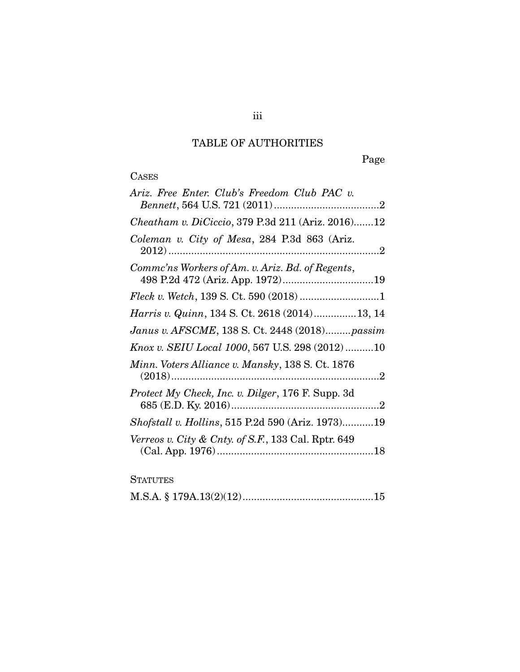# TABLE OF AUTHORITIES

Page

# **CASES**

| Ariz. Free Enter. Club's Freedom Club PAC v.              |
|-----------------------------------------------------------|
| Cheatham v. DiCiccio, 379 P.3d 211 (Ariz. 2016)12         |
| Coleman v. City of Mesa, 284 P.3d 863 (Ariz.              |
| Comme'ns Workers of Am. v. Ariz. Bd. of Regents,          |
|                                                           |
| Harris v. Quinn, 134 S. Ct. 2618 (2014)13, 14             |
| Janus v. AFSCME, 138 S. Ct. 2448 (2018)passim             |
| Knox v. SEIU Local 1000, 567 U.S. 298 (2012)10            |
| Minn. Voters Alliance v. Mansky, 138 S. Ct. 1876          |
| <i>Protect My Check, Inc. v. Dilger, 176 F. Supp. 3d</i>  |
| <i>Shofstall v. Hollins</i> , 515 P.2d 590 (Ariz. 1973)19 |
| Verreos v. City & Cnty. of S.F., 133 Cal. Rptr. 649       |

### **STATUTES**

|--|--|--|--|--|--|--|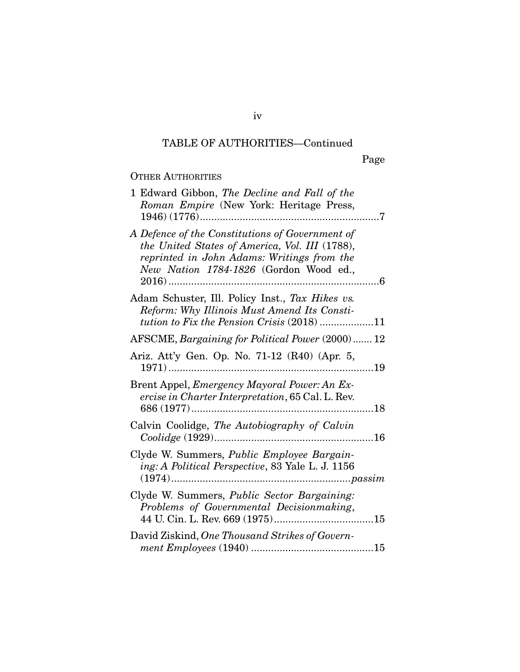# TABLE OF AUTHORITIES—Continued

## OTHER AUTHORITIES

| 1 Edward Gibbon, The Decline and Fall of the<br>Roman Empire (New York: Heritage Press,                                                                                                   |
|-------------------------------------------------------------------------------------------------------------------------------------------------------------------------------------------|
| A Defence of the Constitutions of Government of<br>the United States of America, Vol. III (1788),<br>reprinted in John Adams: Writings from the<br>New Nation 1784-1826 (Gordon Wood ed., |
| Adam Schuster, Ill. Policy Inst., Tax Hikes vs.<br>Reform: Why Illinois Must Amend Its Consti-<br><i>tution to Fix the Pension Crisis</i> (2018) 11                                       |
| AFSCME, Bargaining for Political Power (2000)  12                                                                                                                                         |
| Ariz. Att'y Gen. Op. No. 71-12 (R40) (Apr. 5,<br>19                                                                                                                                       |
| Brent Appel, <i>Emergency Mayoral Power: An Ex-</i><br>ercise in Charter Interpretation, 65 Cal. L. Rev.<br>18                                                                            |
| Calvin Coolidge, The Autobiography of Calvin<br>$16$                                                                                                                                      |
| Clyde W. Summers, Public Employee Bargain-<br>ing: A Political Perspective, 83 Yale L. J. 1156                                                                                            |
| Clyde W. Summers, <i>Public Sector Bargaining</i> :<br>Problems of Governmental Decisionmaking,                                                                                           |
| David Ziskind, One Thousand Strikes of Govern-                                                                                                                                            |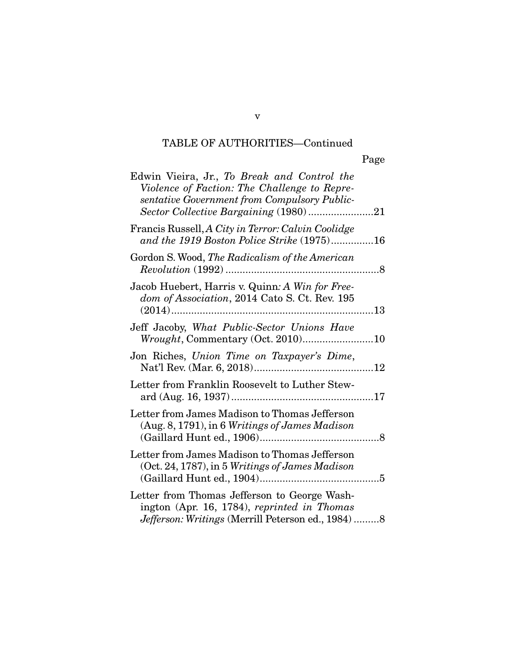# TABLE OF AUTHORITIES—Continued

|                                                                                                                                                                                      | Page |
|--------------------------------------------------------------------------------------------------------------------------------------------------------------------------------------|------|
| Edwin Vieira, Jr., To Break and Control the<br>Violence of Faction: The Challenge to Repre-<br>sentative Government from Compulsory Public-<br>Sector Collective Bargaining (1980)21 |      |
| Francis Russell, A City in Terror: Calvin Coolidge<br>and the 1919 Boston Police Strike (1975)16                                                                                     |      |
| Gordon S. Wood, <i>The Radicalism of the American</i>                                                                                                                                |      |
| Jacob Huebert, Harris v. Quinn: A Win for Free-<br>dom of Association, 2014 Cato S. Ct. Rev. 195                                                                                     |      |
| Jeff Jacoby, What Public-Sector Unions Have<br>Wrought, Commentary (Oct. 2010)10                                                                                                     |      |
| Jon Riches, Union Time on Taxpayer's Dime,                                                                                                                                           |      |
| Letter from Franklin Roosevelt to Luther Stew-                                                                                                                                       |      |
| Letter from James Madison to Thomas Jefferson<br>$(Aug. 8, 1791)$ , in 6 Writings of James Madison                                                                                   |      |
| Letter from James Madison to Thomas Jefferson<br>$(Oct. 24, 1787)$ , in 5 Writings of James Madison                                                                                  |      |
| Letter from Thomas Jefferson to George Wash-<br>ington (Apr. 16, 1784), reprinted in Thomas                                                                                          |      |

*Jefferson: Writings* (Merrill Peterson ed., 1984) ......... 8

v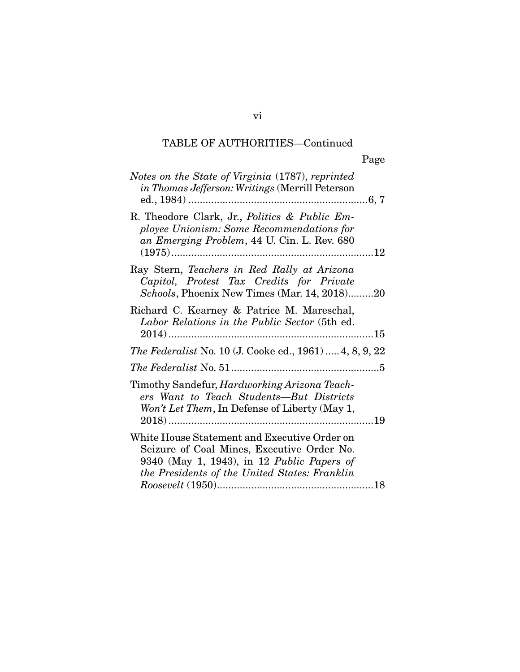# TABLE OF AUTHORITIES—Continued

| Notes on the State of Virginia (1787), reprinted<br>in Thomas Jefferson: Writings (Merrill Peterson                                                                                             |
|-------------------------------------------------------------------------------------------------------------------------------------------------------------------------------------------------|
| R. Theodore Clark, Jr., <i>Politics &amp; Public Em-</i><br>ployee Unionism: Some Recommendations for<br>an Emerging Problem, 44 U. Cin. L. Rev. 680                                            |
| Ray Stern, Teachers in Red Rally at Arizona<br>Capitol, Protest Tax Credits for Private<br>Schools, Phoenix New Times (Mar. 14, 2018)20                                                         |
| Richard C. Kearney & Patrice M. Mareschal,<br>Labor Relations in the Public Sector (5th ed.                                                                                                     |
| The Federalist No. 10 (J. Cooke ed., 1961)  4, 8, 9, 22                                                                                                                                         |
|                                                                                                                                                                                                 |
| Timothy Sandefur, <i>Hardworking Arizona Teach-</i><br>ers Want to Teach Students-But Districts<br>Won't Let Them, In Defense of Liberty (May 1,                                                |
| White House Statement and Executive Order on<br>Seizure of Coal Mines, Executive Order No.<br>9340 (May 1, 1943), in 12 Public Papers of<br>the Presidents of the United States: Franklin<br>18 |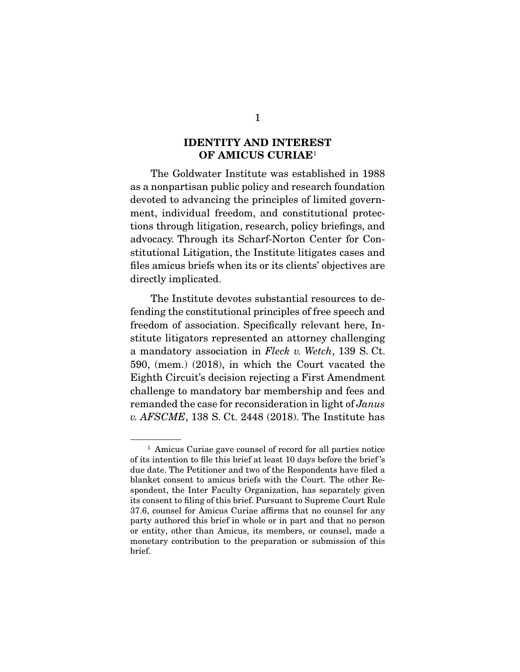### IDENTITY AND INTEREST OF AMICUS CURIAE<sup>1</sup>

 The Goldwater Institute was established in 1988 as a nonpartisan public policy and research foundation devoted to advancing the principles of limited government, individual freedom, and constitutional protections through litigation, research, policy briefings, and advocacy. Through its Scharf-Norton Center for Constitutional Litigation, the Institute litigates cases and files amicus briefs when its or its clients' objectives are directly implicated.

 The Institute devotes substantial resources to defending the constitutional principles of free speech and freedom of association. Specifically relevant here, Institute litigators represented an attorney challenging a mandatory association in *Fleck v. Wetch*, 139 S. Ct. 590, (mem.) (2018), in which the Court vacated the Eighth Circuit's decision rejecting a First Amendment challenge to mandatory bar membership and fees and remanded the case for reconsideration in light of *Janus v. AFSCME*, 138 S. Ct. 2448 (2018). The Institute has

<sup>&</sup>lt;sup>1</sup> Amicus Curiae gave counsel of record for all parties notice of its intention to file this brief at least 10 days before the brief 's due date. The Petitioner and two of the Respondents have filed a blanket consent to amicus briefs with the Court. The other Respondent, the Inter Faculty Organization, has separately given its consent to filing of this brief. Pursuant to Supreme Court Rule 37.6, counsel for Amicus Curiae affirms that no counsel for any party authored this brief in whole or in part and that no person or entity, other than Amicus, its members, or counsel, made a monetary contribution to the preparation or submission of this brief.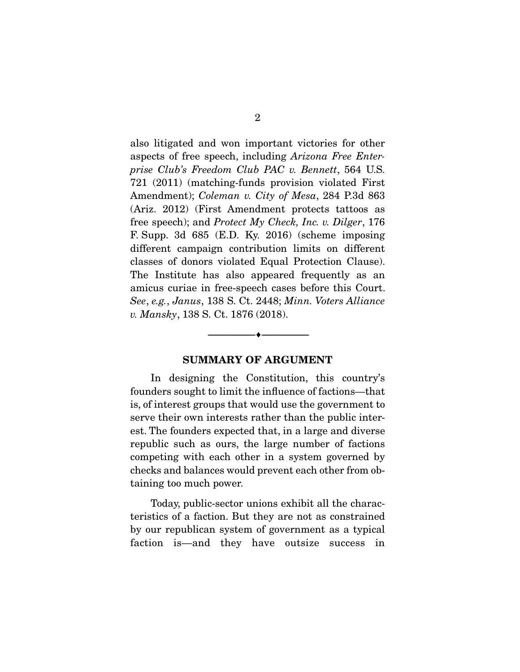also litigated and won important victories for other aspects of free speech, including *Arizona Free Enterprise Club's Freedom Club PAC v. Bennett*, 564 U.S. 721 (2011) (matching-funds provision violated First Amendment); *Coleman v. City of Mesa*, 284 P.3d 863 (Ariz. 2012) (First Amendment protects tattoos as free speech); and *Protect My Check, Inc. v. Dilger*, 176 F. Supp. 3d 685 (E.D. Ky. 2016) (scheme imposing different campaign contribution limits on different classes of donors violated Equal Protection Clause). The Institute has also appeared frequently as an amicus curiae in free-speech cases before this Court. *See*, *e.g.*, *Janus*, 138 S. Ct. 2448; *Minn. Voters Alliance v. Mansky*, 138 S. Ct. 1876 (2018).

#### SUMMARY OF ARGUMENT

--------------------------------- ---------------------------------

 In designing the Constitution, this country's founders sought to limit the influence of factions—that is, of interest groups that would use the government to serve their own interests rather than the public interest. The founders expected that, in a large and diverse republic such as ours, the large number of factions competing with each other in a system governed by checks and balances would prevent each other from obtaining too much power.

 Today, public-sector unions exhibit all the characteristics of a faction. But they are not as constrained by our republican system of government as a typical faction is—and they have outsize success in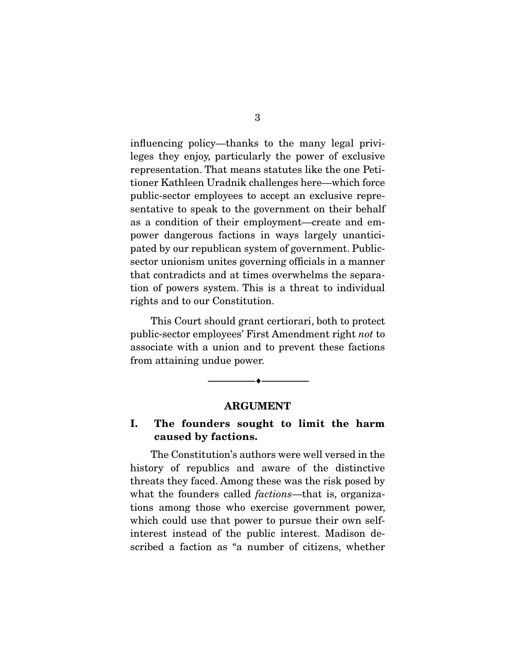influencing policy—thanks to the many legal privileges they enjoy, particularly the power of exclusive representation. That means statutes like the one Petitioner Kathleen Uradnik challenges here—which force public-sector employees to accept an exclusive representative to speak to the government on their behalf as a condition of their employment—create and empower dangerous factions in ways largely unanticipated by our republican system of government. Publicsector unionism unites governing officials in a manner that contradicts and at times overwhelms the separation of powers system. This is a threat to individual rights and to our Constitution.

 This Court should grant certiorari, both to protect public-sector employees' First Amendment right *not* to associate with a union and to prevent these factions from attaining undue power.

#### ARGUMENT

--------------------------------- ---------------------------------

#### I. The founders sought to limit the harm caused by factions.

 The Constitution's authors were well versed in the history of republics and aware of the distinctive threats they faced. Among these was the risk posed by what the founders called *factions*—that is, organizations among those who exercise government power, which could use that power to pursue their own selfinterest instead of the public interest. Madison described a faction as "a number of citizens, whether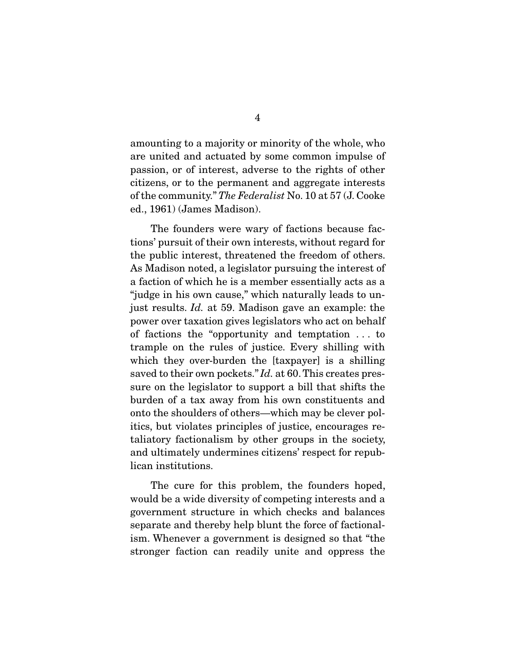amounting to a majority or minority of the whole, who are united and actuated by some common impulse of passion, or of interest, adverse to the rights of other citizens, or to the permanent and aggregate interests of the community." *The Federalist* No. 10 at 57 (J. Cooke ed., 1961) (James Madison).

 The founders were wary of factions because factions' pursuit of their own interests, without regard for the public interest, threatened the freedom of others. As Madison noted, a legislator pursuing the interest of a faction of which he is a member essentially acts as a "judge in his own cause," which naturally leads to unjust results. *Id.* at 59. Madison gave an example: the power over taxation gives legislators who act on behalf of factions the "opportunity and temptation . . . to trample on the rules of justice. Every shilling with which they over-burden the [taxpayer] is a shilling saved to their own pockets." *Id.* at 60. This creates pressure on the legislator to support a bill that shifts the burden of a tax away from his own constituents and onto the shoulders of others—which may be clever politics, but violates principles of justice, encourages retaliatory factionalism by other groups in the society, and ultimately undermines citizens' respect for republican institutions.

 The cure for this problem, the founders hoped, would be a wide diversity of competing interests and a government structure in which checks and balances separate and thereby help blunt the force of factionalism. Whenever a government is designed so that "the stronger faction can readily unite and oppress the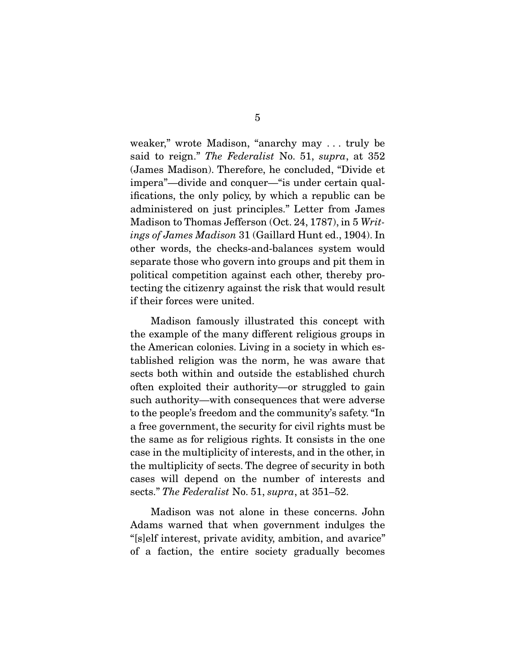weaker," wrote Madison, "anarchy may . . . truly be said to reign." *The Federalist* No. 51, *supra*, at 352 (James Madison). Therefore, he concluded, "Divide et impera"—divide and conquer—"is under certain qualifications, the only policy, by which a republic can be administered on just principles." Letter from James Madison to Thomas Jefferson (Oct. 24, 1787), in 5 *Writings of James Madison* 31 (Gaillard Hunt ed., 1904). In other words, the checks-and-balances system would separate those who govern into groups and pit them in political competition against each other, thereby protecting the citizenry against the risk that would result if their forces were united.

 Madison famously illustrated this concept with the example of the many different religious groups in the American colonies. Living in a society in which established religion was the norm, he was aware that sects both within and outside the established church often exploited their authority—or struggled to gain such authority—with consequences that were adverse to the people's freedom and the community's safety. "In a free government, the security for civil rights must be the same as for religious rights. It consists in the one case in the multiplicity of interests, and in the other, in the multiplicity of sects. The degree of security in both cases will depend on the number of interests and sects." *The Federalist* No. 51, *supra*, at 351–52.

 Madison was not alone in these concerns. John Adams warned that when government indulges the "[s]elf interest, private avidity, ambition, and avarice" of a faction, the entire society gradually becomes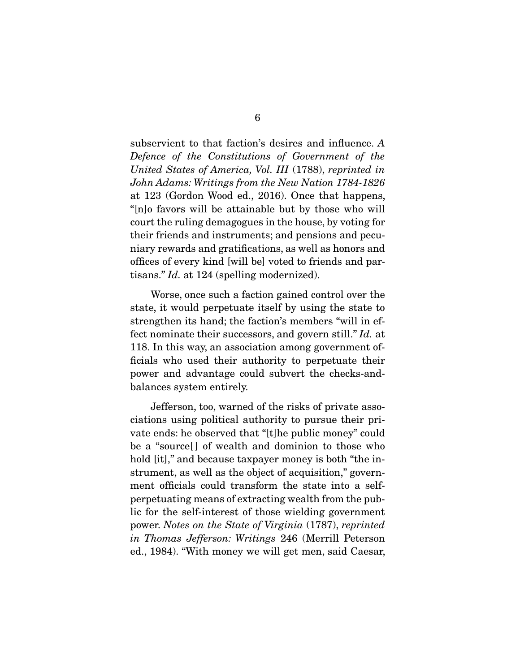subservient to that faction's desires and influence. *A Defence of the Constitutions of Government of the United States of America, Vol. III* (1788), *reprinted in John Adams: Writings from the New Nation 1784-1826* at 123 (Gordon Wood ed., 2016). Once that happens, "[n]o favors will be attainable but by those who will court the ruling demagogues in the house, by voting for their friends and instruments; and pensions and pecuniary rewards and gratifications, as well as honors and offices of every kind [will be] voted to friends and partisans." *Id.* at 124 (spelling modernized).

 Worse, once such a faction gained control over the state, it would perpetuate itself by using the state to strengthen its hand; the faction's members "will in effect nominate their successors, and govern still." *Id.* at 118. In this way, an association among government officials who used their authority to perpetuate their power and advantage could subvert the checks-andbalances system entirely.

 Jefferson, too, warned of the risks of private associations using political authority to pursue their private ends: he observed that "[t]he public money" could be a "source<sup>[]</sup> of wealth and dominion to those who hold [it]," and because taxpayer money is both "the instrument, as well as the object of acquisition," government officials could transform the state into a selfperpetuating means of extracting wealth from the public for the self-interest of those wielding government power. *Notes on the State of Virginia* (1787), *reprinted in Thomas Jefferson: Writings* 246 (Merrill Peterson ed., 1984). "With money we will get men, said Caesar,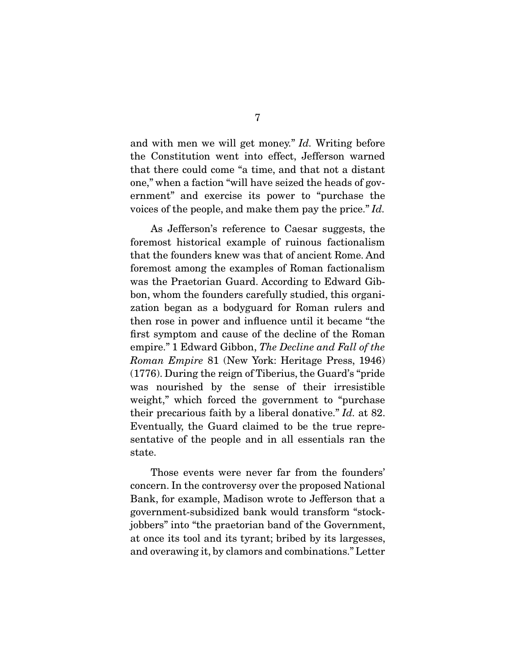and with men we will get money." *Id.* Writing before the Constitution went into effect, Jefferson warned that there could come "a time, and that not a distant one," when a faction "will have seized the heads of government" and exercise its power to "purchase the voices of the people, and make them pay the price." *Id.*

 As Jefferson's reference to Caesar suggests, the foremost historical example of ruinous factionalism that the founders knew was that of ancient Rome. And foremost among the examples of Roman factionalism was the Praetorian Guard. According to Edward Gibbon, whom the founders carefully studied, this organization began as a bodyguard for Roman rulers and then rose in power and influence until it became "the first symptom and cause of the decline of the Roman empire." 1 Edward Gibbon, *The Decline and Fall of the Roman Empire* 81 (New York: Heritage Press, 1946) (1776). During the reign of Tiberius, the Guard's "pride was nourished by the sense of their irresistible weight," which forced the government to "purchase" their precarious faith by a liberal donative." *Id.* at 82. Eventually, the Guard claimed to be the true representative of the people and in all essentials ran the state.

 Those events were never far from the founders' concern. In the controversy over the proposed National Bank, for example, Madison wrote to Jefferson that a government-subsidized bank would transform "stockjobbers" into "the praetorian band of the Government, at once its tool and its tyrant; bribed by its largesses, and overawing it, by clamors and combinations." Letter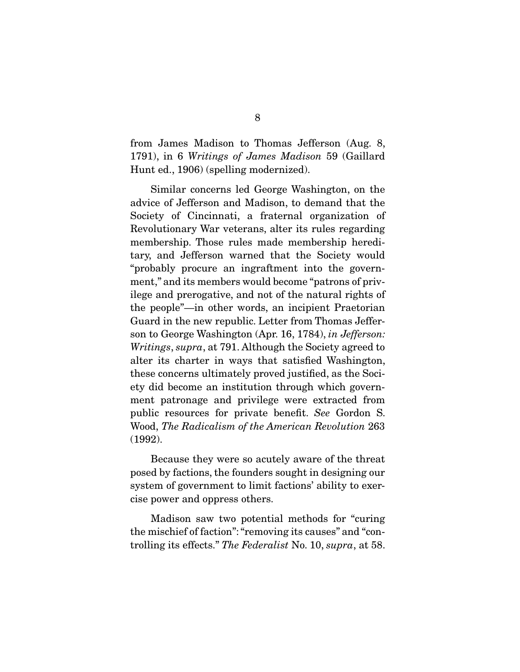from James Madison to Thomas Jefferson (Aug. 8, 1791), in 6 *Writings of James Madison* 59 (Gaillard Hunt ed., 1906) (spelling modernized).

 Similar concerns led George Washington, on the advice of Jefferson and Madison, to demand that the Society of Cincinnati, a fraternal organization of Revolutionary War veterans, alter its rules regarding membership. Those rules made membership hereditary, and Jefferson warned that the Society would "probably procure an ingraftment into the government," and its members would become "patrons of privilege and prerogative, and not of the natural rights of the people"—in other words, an incipient Praetorian Guard in the new republic. Letter from Thomas Jefferson to George Washington (Apr. 16, 1784), *in Jefferson: Writings*, *supra*, at 791. Although the Society agreed to alter its charter in ways that satisfied Washington, these concerns ultimately proved justified, as the Society did become an institution through which government patronage and privilege were extracted from public resources for private benefit. *See* Gordon S. Wood, *The Radicalism of the American Revolution* 263 (1992).

 Because they were so acutely aware of the threat posed by factions, the founders sought in designing our system of government to limit factions' ability to exercise power and oppress others.

 Madison saw two potential methods for "curing the mischief of faction": "removing its causes" and "controlling its effects." *The Federalist* No. 10, *supra*, at 58.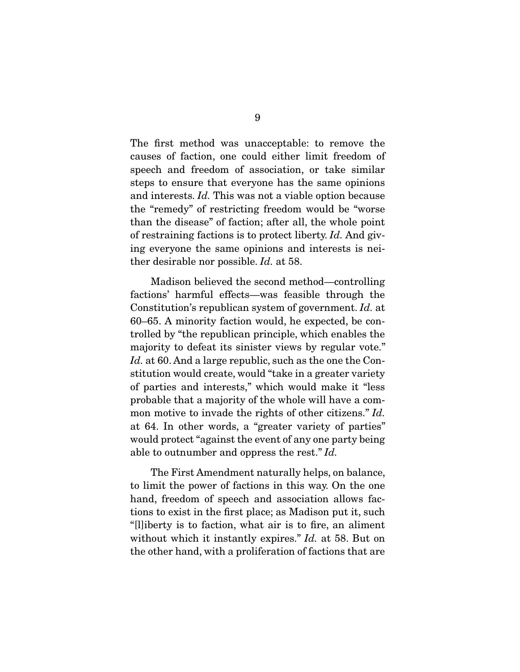The first method was unacceptable: to remove the causes of faction, one could either limit freedom of speech and freedom of association, or take similar steps to ensure that everyone has the same opinions and interests. *Id.* This was not a viable option because the "remedy" of restricting freedom would be "worse than the disease" of faction; after all, the whole point of restraining factions is to protect liberty. *Id.* And giving everyone the same opinions and interests is neither desirable nor possible. *Id.* at 58.

 Madison believed the second method—controlling factions' harmful effects—was feasible through the Constitution's republican system of government. *Id.* at 60–65. A minority faction would, he expected, be controlled by "the republican principle, which enables the majority to defeat its sinister views by regular vote." *Id.* at 60. And a large republic, such as the one the Constitution would create, would "take in a greater variety of parties and interests," which would make it "less probable that a majority of the whole will have a common motive to invade the rights of other citizens." *Id.*  at 64. In other words, a "greater variety of parties" would protect "against the event of any one party being able to outnumber and oppress the rest." *Id.*

 The First Amendment naturally helps, on balance, to limit the power of factions in this way. On the one hand, freedom of speech and association allows factions to exist in the first place; as Madison put it, such "[l]iberty is to faction, what air is to fire, an aliment without which it instantly expires." *Id.* at 58. But on the other hand, with a proliferation of factions that are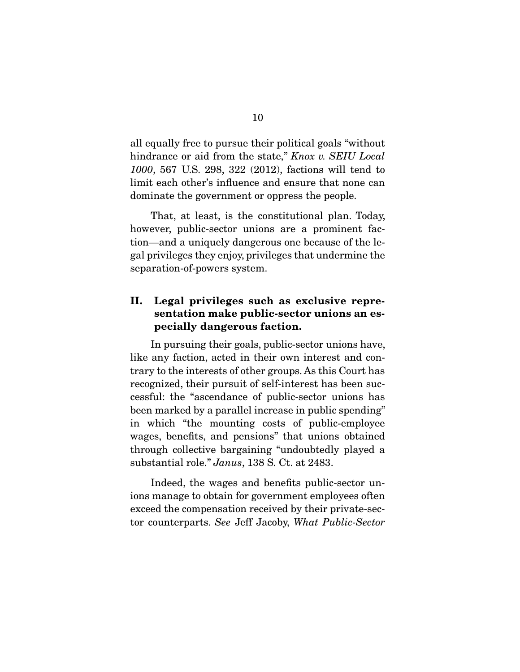all equally free to pursue their political goals "without hindrance or aid from the state," *Knox v. SEIU Local 1000*, 567 U.S. 298, 322 (2012), factions will tend to limit each other's influence and ensure that none can dominate the government or oppress the people.

 That, at least, is the constitutional plan. Today, however, public-sector unions are a prominent faction—and a uniquely dangerous one because of the legal privileges they enjoy, privileges that undermine the separation-of-powers system.

### II. Legal privileges such as exclusive representation make public-sector unions an especially dangerous faction.

 In pursuing their goals, public-sector unions have, like any faction, acted in their own interest and contrary to the interests of other groups. As this Court has recognized, their pursuit of self-interest has been successful: the "ascendance of public-sector unions has been marked by a parallel increase in public spending" in which "the mounting costs of public-employee wages, benefits, and pensions" that unions obtained through collective bargaining "undoubtedly played a substantial role." *Janus*, 138 S. Ct. at 2483.

 Indeed, the wages and benefits public-sector unions manage to obtain for government employees often exceed the compensation received by their private-sector counterparts. *See* Jeff Jacoby, *What Public-Sector*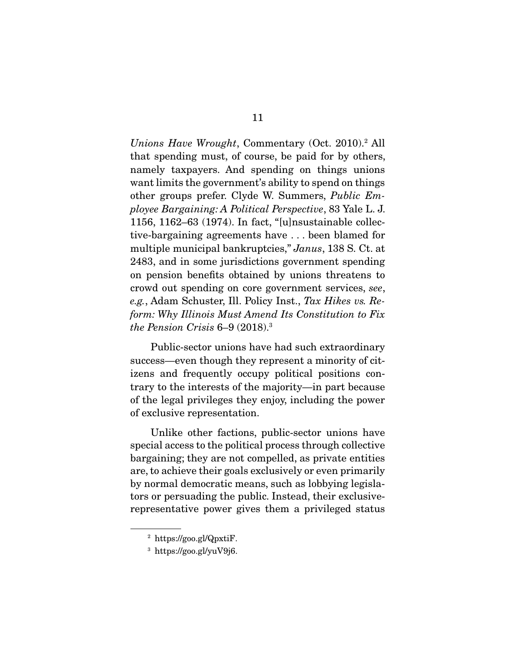*Unions Have Wrought*, Commentary (Oct. 2010).2 All that spending must, of course, be paid for by others, namely taxpayers. And spending on things unions want limits the government's ability to spend on things other groups prefer. Clyde W. Summers, *Public Employee Bargaining: A Political Perspective*, 83 Yale L. J. 1156, 1162–63 (1974). In fact, "[u]nsustainable collective-bargaining agreements have . . . been blamed for multiple municipal bankruptcies," *Janus*, 138 S. Ct. at 2483, and in some jurisdictions government spending on pension benefits obtained by unions threatens to crowd out spending on core government services, *see*, *e.g.*, Adam Schuster, Ill. Policy Inst., *Tax Hikes vs. Reform: Why Illinois Must Amend Its Constitution to Fix the Pension Crisis* 6–9 (2018).3

 Public-sector unions have had such extraordinary success—even though they represent a minority of citizens and frequently occupy political positions contrary to the interests of the majority—in part because of the legal privileges they enjoy, including the power of exclusive representation.

 Unlike other factions, public-sector unions have special access to the political process through collective bargaining; they are not compelled, as private entities are, to achieve their goals exclusively or even primarily by normal democratic means, such as lobbying legislators or persuading the public. Instead, their exclusiverepresentative power gives them a privileged status

<sup>2</sup> https://goo.gl/QpxtiF.

<sup>3</sup> https://goo.gl/yuV9j6.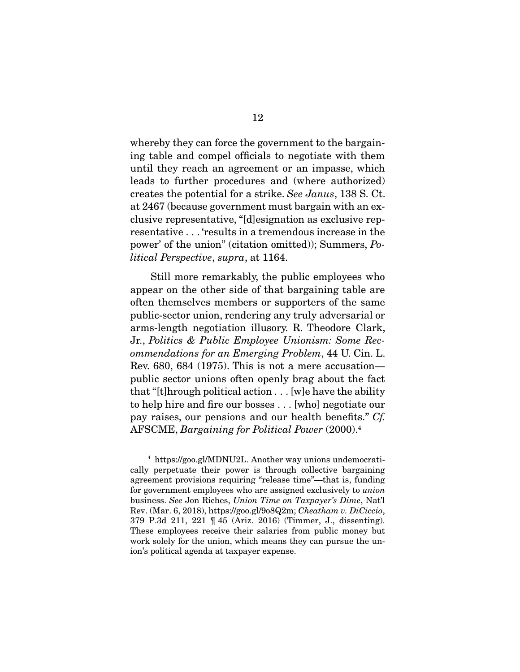whereby they can force the government to the bargaining table and compel officials to negotiate with them until they reach an agreement or an impasse, which leads to further procedures and (where authorized) creates the potential for a strike. *See Janus*, 138 S. Ct. at 2467 (because government must bargain with an exclusive representative, "[d]esignation as exclusive representative . . . 'results in a tremendous increase in the power' of the union" (citation omitted)); Summers, *Political Perspective*, *supra*, at 1164.

 Still more remarkably, the public employees who appear on the other side of that bargaining table are often themselves members or supporters of the same public-sector union, rendering any truly adversarial or arms-length negotiation illusory. R. Theodore Clark, Jr., *Politics & Public Employee Unionism: Some Recommendations for an Emerging Problem*, 44 U. Cin. L. Rev. 680, 684 (1975). This is not a mere accusation public sector unions often openly brag about the fact that "[t]hrough political action . . . [w]e have the ability to help hire and fire our bosses . . . [who] negotiate our pay raises, our pensions and our health benefits." *Cf.*  AFSCME, *Bargaining for Political Power* (2000).4

<sup>4</sup> https://goo.gl/MDNU2L. Another way unions undemocratically perpetuate their power is through collective bargaining agreement provisions requiring "release time"—that is, funding for government employees who are assigned exclusively to *union*  business. *See* Jon Riches, *Union Time on Taxpayer's Dime*, Nat'l Rev. (Mar. 6, 2018), https://goo.gl/9o8Q2m; *Cheatham v. DiCiccio*, 379 P.3d 211, 221 ¶ 45 (Ariz. 2016) (Timmer, J., dissenting). These employees receive their salaries from public money but work solely for the union, which means they can pursue the union's political agenda at taxpayer expense.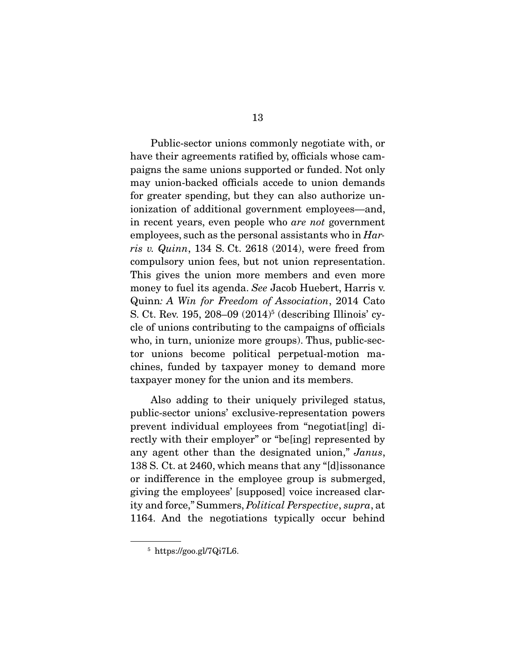Public-sector unions commonly negotiate with, or have their agreements ratified by, officials whose campaigns the same unions supported or funded. Not only may union-backed officials accede to union demands for greater spending, but they can also authorize unionization of additional government employees—and, in recent years, even people who *are not* government employees, such as the personal assistants who in *Harris v. Quinn*, 134 S. Ct. 2618 (2014), were freed from compulsory union fees, but not union representation. This gives the union more members and even more money to fuel its agenda. *See* Jacob Huebert, Harris v. Quinn*: A Win for Freedom of Association*, 2014 Cato S. Ct. Rev. 195, 208–09 (2014)<sup>5</sup> (describing Illinois' cycle of unions contributing to the campaigns of officials who, in turn, unionize more groups). Thus, public-sector unions become political perpetual-motion machines, funded by taxpayer money to demand more taxpayer money for the union and its members.

 Also adding to their uniquely privileged status, public-sector unions' exclusive-representation powers prevent individual employees from "negotiat[ing] directly with their employer" or "be[ing] represented by any agent other than the designated union," *Janus*, 138 S. Ct. at 2460, which means that any "[d]issonance or indifference in the employee group is submerged, giving the employees' [supposed] voice increased clarity and force," Summers, *Political Perspective*, *supra*, at 1164. And the negotiations typically occur behind

<sup>5</sup> https://goo.gl/7Qi7L6.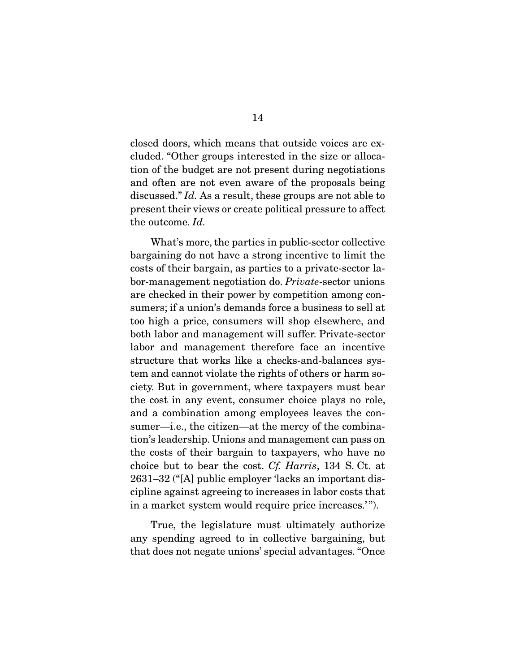closed doors, which means that outside voices are excluded. "Other groups interested in the size or allocation of the budget are not present during negotiations and often are not even aware of the proposals being discussed." *Id.* As a result, these groups are not able to present their views or create political pressure to affect the outcome. *Id.*

 What's more, the parties in public-sector collective bargaining do not have a strong incentive to limit the costs of their bargain, as parties to a private-sector labor-management negotiation do. *Private*-sector unions are checked in their power by competition among consumers; if a union's demands force a business to sell at too high a price, consumers will shop elsewhere, and both labor and management will suffer. Private-sector labor and management therefore face an incentive structure that works like a checks-and-balances system and cannot violate the rights of others or harm society. But in government, where taxpayers must bear the cost in any event, consumer choice plays no role, and a combination among employees leaves the consumer—i.e., the citizen—at the mercy of the combination's leadership. Unions and management can pass on the costs of their bargain to taxpayers, who have no choice but to bear the cost. *Cf. Harris*, 134 S. Ct. at 2631–32 ("[A] public employer 'lacks an important discipline against agreeing to increases in labor costs that in a market system would require price increases.' ").

 True, the legislature must ultimately authorize any spending agreed to in collective bargaining, but that does not negate unions' special advantages. "Once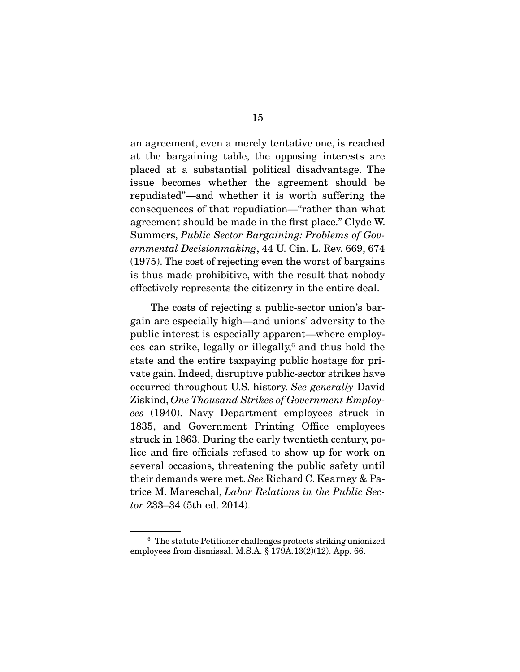an agreement, even a merely tentative one, is reached at the bargaining table, the opposing interests are placed at a substantial political disadvantage. The issue becomes whether the agreement should be repudiated"—and whether it is worth suffering the consequences of that repudiation—"rather than what agreement should be made in the first place." Clyde W. Summers, *Public Sector Bargaining: Problems of Governmental Decisionmaking*, 44 U. Cin. L. Rev. 669, 674 (1975). The cost of rejecting even the worst of bargains is thus made prohibitive, with the result that nobody effectively represents the citizenry in the entire deal.

 The costs of rejecting a public-sector union's bargain are especially high—and unions' adversity to the public interest is especially apparent—where employees can strike, legally or illegally,<sup>6</sup> and thus hold the state and the entire taxpaying public hostage for private gain. Indeed, disruptive public-sector strikes have occurred throughout U.S. history. *See generally* David Ziskind, *One Thousand Strikes of Government Employees* (1940). Navy Department employees struck in 1835, and Government Printing Office employees struck in 1863. During the early twentieth century, police and fire officials refused to show up for work on several occasions, threatening the public safety until their demands were met. *See* Richard C. Kearney & Patrice M. Mareschal, *Labor Relations in the Public Sector* 233–34 (5th ed. 2014).

<sup>6</sup> The statute Petitioner challenges protects striking unionized employees from dismissal. M.S.A. § 179A.13(2)(12). App. 66.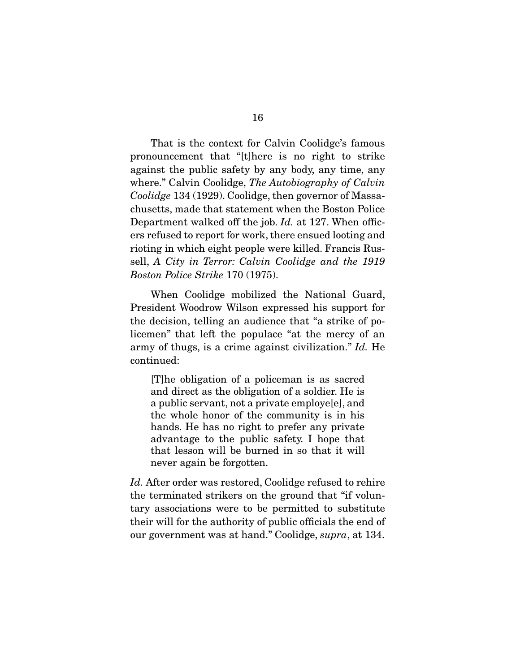That is the context for Calvin Coolidge's famous pronouncement that "[t]here is no right to strike against the public safety by any body, any time, any where." Calvin Coolidge, *The Autobiography of Calvin Coolidge* 134 (1929). Coolidge, then governor of Massachusetts, made that statement when the Boston Police Department walked off the job. *Id.* at 127. When officers refused to report for work, there ensued looting and rioting in which eight people were killed. Francis Russell, *A City in Terror: Calvin Coolidge and the 1919 Boston Police Strike* 170 (1975).

 When Coolidge mobilized the National Guard, President Woodrow Wilson expressed his support for the decision, telling an audience that "a strike of policemen" that left the populace "at the mercy of an army of thugs, is a crime against civilization." *Id.* He continued:

[T]he obligation of a policeman is as sacred and direct as the obligation of a soldier. He is a public servant, not a private employe[e], and the whole honor of the community is in his hands. He has no right to prefer any private advantage to the public safety. I hope that that lesson will be burned in so that it will never again be forgotten.

*Id.* After order was restored, Coolidge refused to rehire the terminated strikers on the ground that "if voluntary associations were to be permitted to substitute their will for the authority of public officials the end of our government was at hand." Coolidge, *supra*, at 134.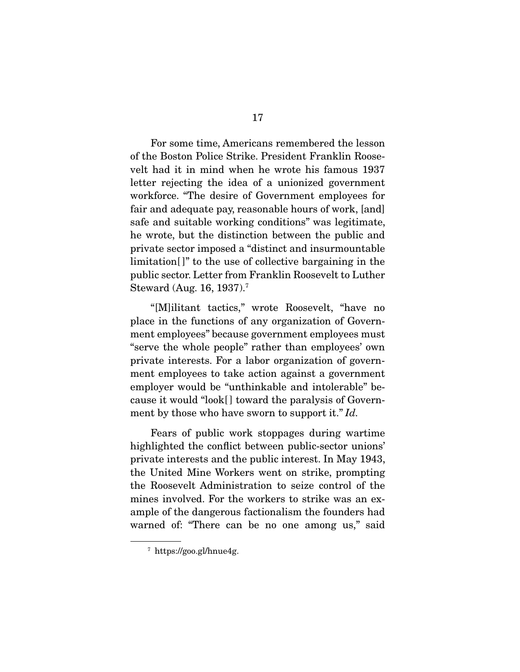For some time, Americans remembered the lesson of the Boston Police Strike. President Franklin Roosevelt had it in mind when he wrote his famous 1937 letter rejecting the idea of a unionized government workforce. "The desire of Government employees for fair and adequate pay, reasonable hours of work, [and] safe and suitable working conditions" was legitimate, he wrote, but the distinction between the public and private sector imposed a "distinct and insurmountable limitation<sup>[]"</sup> to the use of collective bargaining in the public sector. Letter from Franklin Roosevelt to Luther Steward (Aug. 16, 1937).7

 "[M]ilitant tactics," wrote Roosevelt, "have no place in the functions of any organization of Government employees" because government employees must "serve the whole people" rather than employees' own private interests. For a labor organization of government employees to take action against a government employer would be "unthinkable and intolerable" because it would "look[ ] toward the paralysis of Government by those who have sworn to support it." *Id.*

 Fears of public work stoppages during wartime highlighted the conflict between public-sector unions' private interests and the public interest. In May 1943, the United Mine Workers went on strike, prompting the Roosevelt Administration to seize control of the mines involved. For the workers to strike was an example of the dangerous factionalism the founders had warned of: "There can be no one among us," said

<sup>7</sup> https://goo.gl/hnue4g.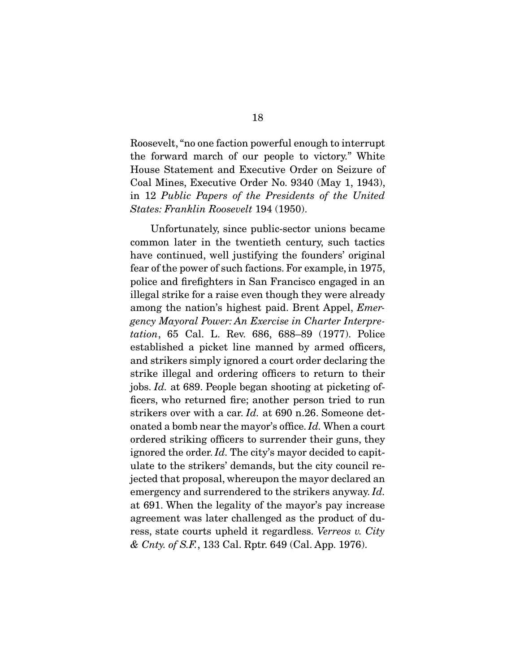Roosevelt, "no one faction powerful enough to interrupt the forward march of our people to victory." White House Statement and Executive Order on Seizure of Coal Mines, Executive Order No. 9340 (May 1, 1943), in 12 *Public Papers of the Presidents of the United States: Franklin Roosevelt* 194 (1950).

 Unfortunately, since public-sector unions became common later in the twentieth century, such tactics have continued, well justifying the founders' original fear of the power of such factions. For example, in 1975, police and firefighters in San Francisco engaged in an illegal strike for a raise even though they were already among the nation's highest paid. Brent Appel, *Emergency Mayoral Power: An Exercise in Charter Interpretation*, 65 Cal. L. Rev. 686, 688–89 (1977). Police established a picket line manned by armed officers, and strikers simply ignored a court order declaring the strike illegal and ordering officers to return to their jobs. *Id.* at 689. People began shooting at picketing officers, who returned fire; another person tried to run strikers over with a car. *Id.* at 690 n.26. Someone detonated a bomb near the mayor's office. *Id.* When a court ordered striking officers to surrender their guns, they ignored the order. *Id.* The city's mayor decided to capitulate to the strikers' demands, but the city council rejected that proposal, whereupon the mayor declared an emergency and surrendered to the strikers anyway. *Id.*  at 691. When the legality of the mayor's pay increase agreement was later challenged as the product of duress, state courts upheld it regardless. *Verreos v. City & Cnty. of S.F.*, 133 Cal. Rptr. 649 (Cal. App. 1976).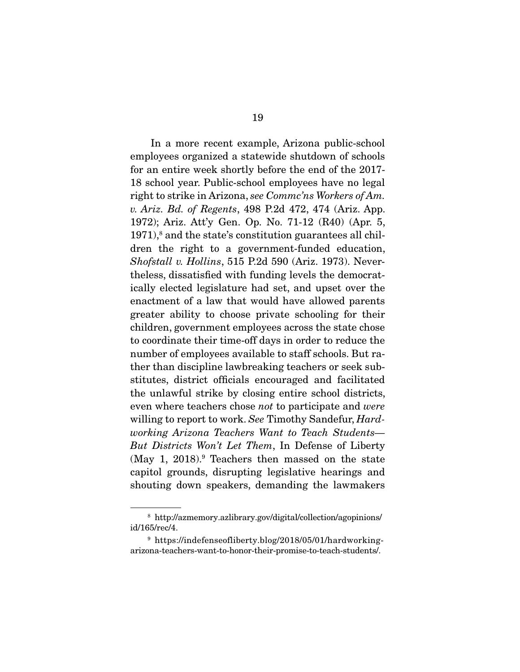In a more recent example, Arizona public-school employees organized a statewide shutdown of schools for an entire week shortly before the end of the 2017- 18 school year. Public-school employees have no legal right to strike in Arizona, *see Commc'ns Workers of Am. v. Ariz. Bd. of Regents*, 498 P.2d 472, 474 (Ariz. App. 1972); Ariz. Att'y Gen. Op. No. 71-12 (R40) (Apr. 5, 1971),<sup>8</sup> and the state's constitution guarantees all children the right to a government-funded education, *Shofstall v. Hollins*, 515 P.2d 590 (Ariz. 1973). Nevertheless, dissatisfied with funding levels the democratically elected legislature had set, and upset over the enactment of a law that would have allowed parents greater ability to choose private schooling for their children, government employees across the state chose to coordinate their time-off days in order to reduce the number of employees available to staff schools. But rather than discipline lawbreaking teachers or seek substitutes, district officials encouraged and facilitated the unlawful strike by closing entire school districts, even where teachers chose *not* to participate and *were*  willing to report to work. *See* Timothy Sandefur, *Hardworking Arizona Teachers Want to Teach Students— But Districts Won't Let Them*, In Defense of Liberty (May 1, 2018).9 Teachers then massed on the state capitol grounds, disrupting legislative hearings and shouting down speakers, demanding the lawmakers

<sup>8</sup> http://azmemory.azlibrary.gov/digital/collection/agopinions/ id/165/rec/4.

<sup>9</sup> https://indefenseofliberty.blog/2018/05/01/hardworkingarizona-teachers-want-to-honor-their-promise-to-teach-students/.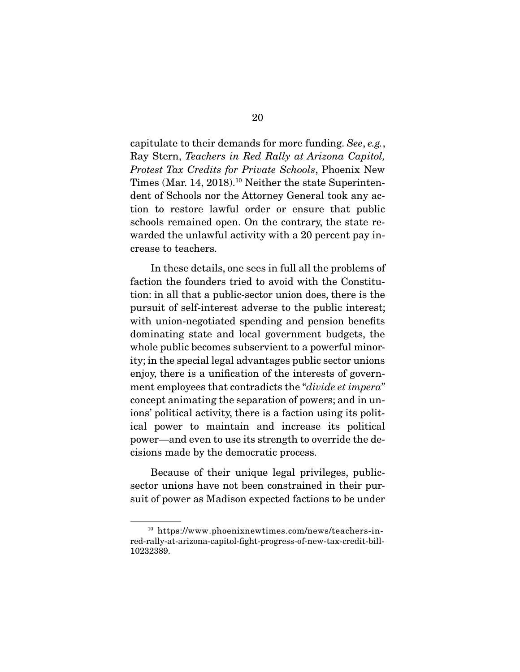capitulate to their demands for more funding. *See*, *e.g.*, Ray Stern, *Teachers in Red Rally at Arizona Capitol, Protest Tax Credits for Private Schools*, Phoenix New Times (Mar. 14, 2018).10 Neither the state Superintendent of Schools nor the Attorney General took any action to restore lawful order or ensure that public schools remained open. On the contrary, the state rewarded the unlawful activity with a 20 percent pay increase to teachers.

 In these details, one sees in full all the problems of faction the founders tried to avoid with the Constitution: in all that a public-sector union does, there is the pursuit of self-interest adverse to the public interest; with union-negotiated spending and pension benefits dominating state and local government budgets, the whole public becomes subservient to a powerful minority; in the special legal advantages public sector unions enjoy, there is a unification of the interests of government employees that contradicts the "*divide et impera*" concept animating the separation of powers; and in unions' political activity, there is a faction using its political power to maintain and increase its political power—and even to use its strength to override the decisions made by the democratic process.

 Because of their unique legal privileges, publicsector unions have not been constrained in their pursuit of power as Madison expected factions to be under

<sup>10</sup> https://www.phoenixnewtimes.com/news/teachers-inred-rally-at-arizona-capitol-fight-progress-of-new-tax-credit-bill-10232389.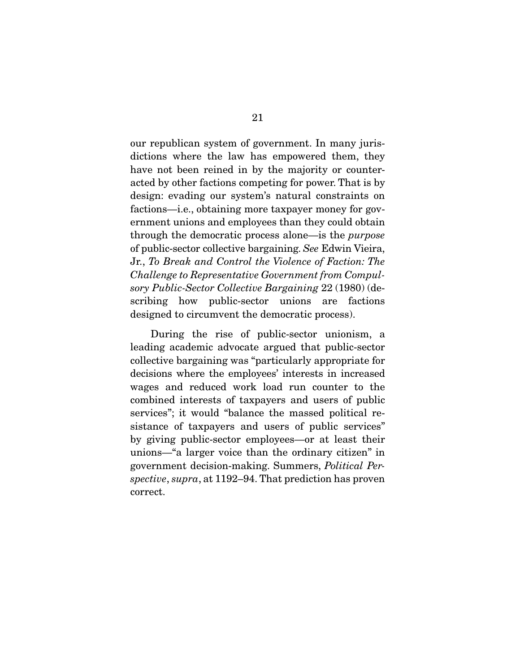our republican system of government. In many jurisdictions where the law has empowered them, they have not been reined in by the majority or counteracted by other factions competing for power. That is by design: evading our system's natural constraints on factions—i.e., obtaining more taxpayer money for government unions and employees than they could obtain through the democratic process alone—is the *purpose*  of public-sector collective bargaining. *See* Edwin Vieira, Jr., *To Break and Control the Violence of Faction: The Challenge to Representative Government from Compulsory Public-Sector Collective Bargaining* 22 (1980) (describing how public-sector unions are factions designed to circumvent the democratic process).

 During the rise of public-sector unionism, a leading academic advocate argued that public-sector collective bargaining was "particularly appropriate for decisions where the employees' interests in increased wages and reduced work load run counter to the combined interests of taxpayers and users of public services"; it would "balance the massed political resistance of taxpayers and users of public services" by giving public-sector employees—or at least their unions—"a larger voice than the ordinary citizen" in government decision-making. Summers, *Political Perspective*, *supra*, at 1192–94. That prediction has proven correct.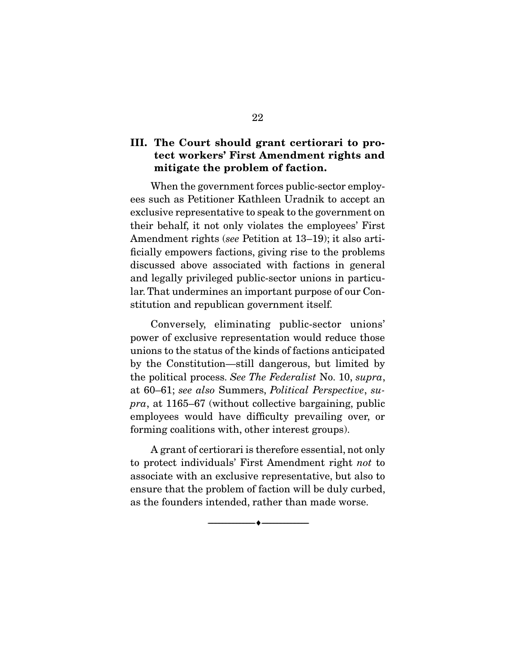### III. The Court should grant certiorari to protect workers' First Amendment rights and mitigate the problem of faction.

 When the government forces public-sector employees such as Petitioner Kathleen Uradnik to accept an exclusive representative to speak to the government on their behalf, it not only violates the employees' First Amendment rights (*see* Petition at 13–19); it also artificially empowers factions, giving rise to the problems discussed above associated with factions in general and legally privileged public-sector unions in particular. That undermines an important purpose of our Constitution and republican government itself.

 Conversely, eliminating public-sector unions' power of exclusive representation would reduce those unions to the status of the kinds of factions anticipated by the Constitution—still dangerous, but limited by the political process. *See The Federalist* No. 10, *supra*, at 60–61; *see also* Summers, *Political Perspective*, *supra*, at 1165–67 (without collective bargaining, public employees would have difficulty prevailing over, or forming coalitions with, other interest groups).

 A grant of certiorari is therefore essential, not only to protect individuals' First Amendment right *not* to associate with an exclusive representative, but also to ensure that the problem of faction will be duly curbed, as the founders intended, rather than made worse.

--------------------------------- ---------------------------------